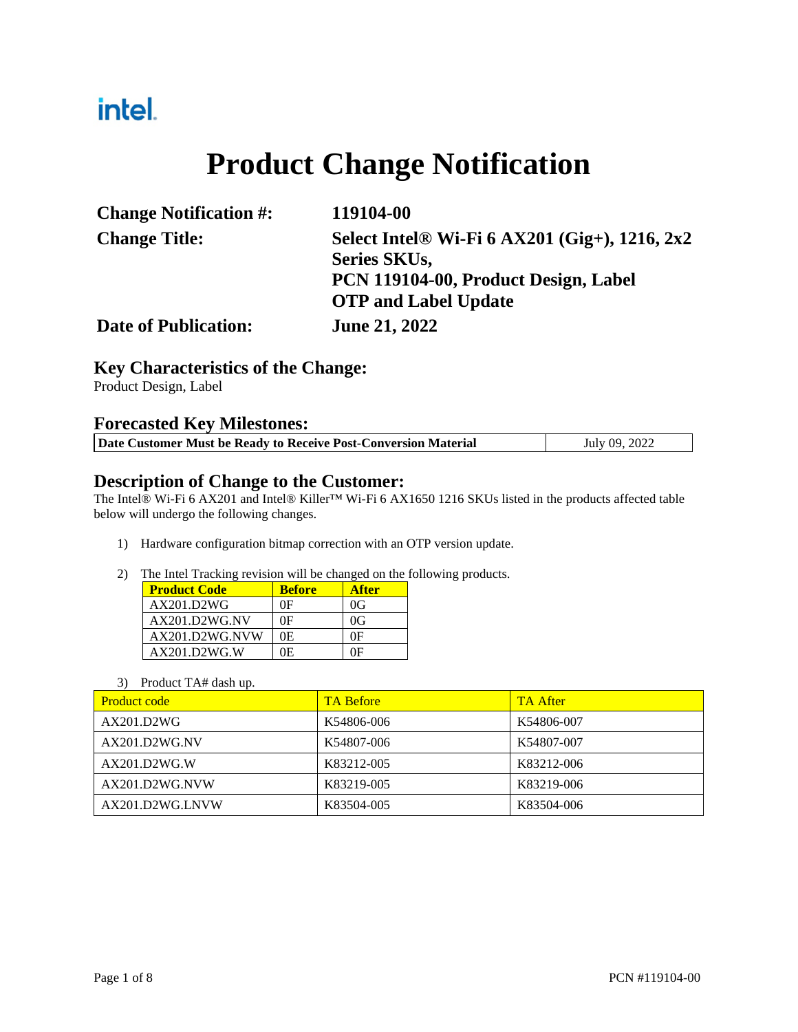## intel.

# **Product Change Notification**

| <b>Change Notification #:</b> | 119104-00                                       |
|-------------------------------|-------------------------------------------------|
| <b>Change Title:</b>          | Select Intel® Wi-Fi $6$ AX201 (Gig+), 1216, 2x2 |
|                               | <b>Series SKUs,</b>                             |
|                               | PCN 119104-00, Product Design, Label            |
|                               | <b>OTP</b> and Label Update                     |
| <b>Date of Publication:</b>   | <b>June 21, 2022</b>                            |

#### **Key Characteristics of the Change:**

Product Design, Label

#### **Forecasted Key Milestones:**

| Date Customer Must be Ready to Receive Post-Conversion Material | July 09, 2022 |
|-----------------------------------------------------------------|---------------|

#### **Description of Change to the Customer:**

The Intel® Wi-Fi 6 AX201 and Intel® Killer™ Wi-Fi 6 AX1650 1216 SKUs listed in the products affected table below will undergo the following changes.

- 1) Hardware configuration bitmap correction with an OTP version update.
- 2) The Intel Tracking revision will be changed on the following products.

| <b>Product Code</b> | <b>Before</b> | <b>After</b> |
|---------------------|---------------|--------------|
| AX201.D2WG          | 0F            | 0G           |
| $AX201$ D2WG NV     | 0F            | 0G           |
| AX201.D2WG.NVW      | 0E.           | ΩE           |
| AX201.D2WG.W        | ìЕ.           | ΛF           |

#### 3) Product TA# dash up.

| <b>Product code</b> | <b>TA Before</b> | <b>TA After</b> |
|---------------------|------------------|-----------------|
| AX201.D2WG          | K54806-006       | K54806-007      |
| AX201.D2WG.NV       | K54807-006       | K54807-007      |
| AX201.D2WG.W        | K83212-005       | K83212-006      |
| AX201.D2WG.NVW      | K83219-005       | K83219-006      |
| AX201.D2WG.LNVW     | K83504-005       | K83504-006      |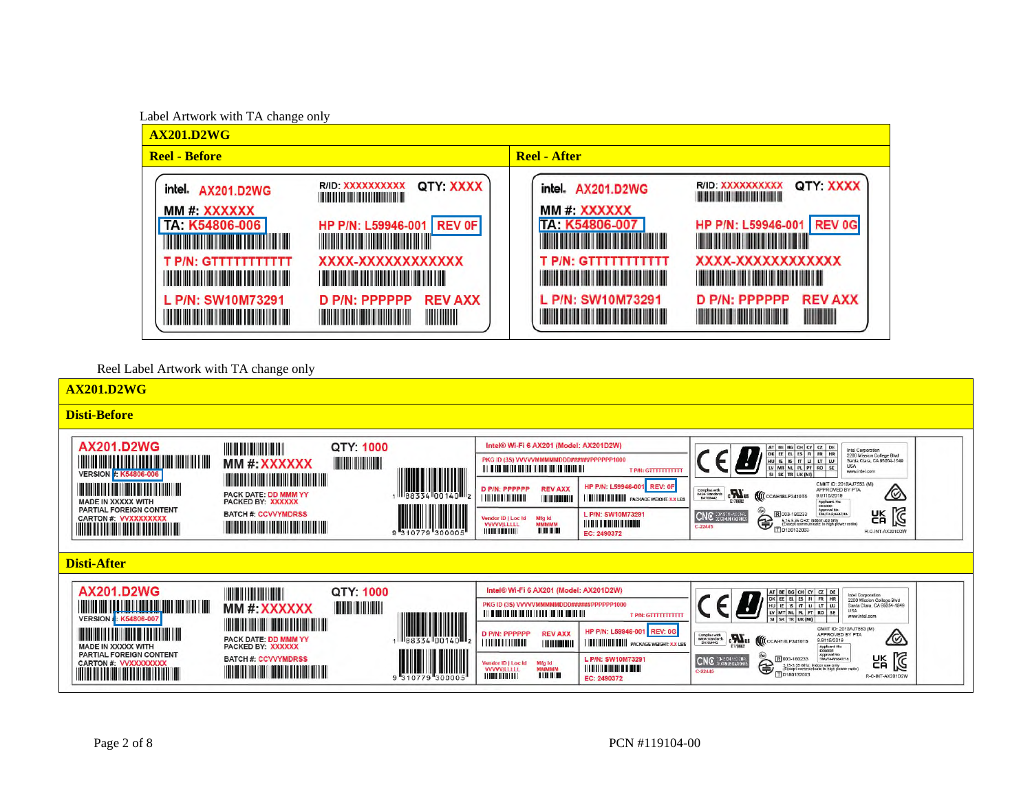

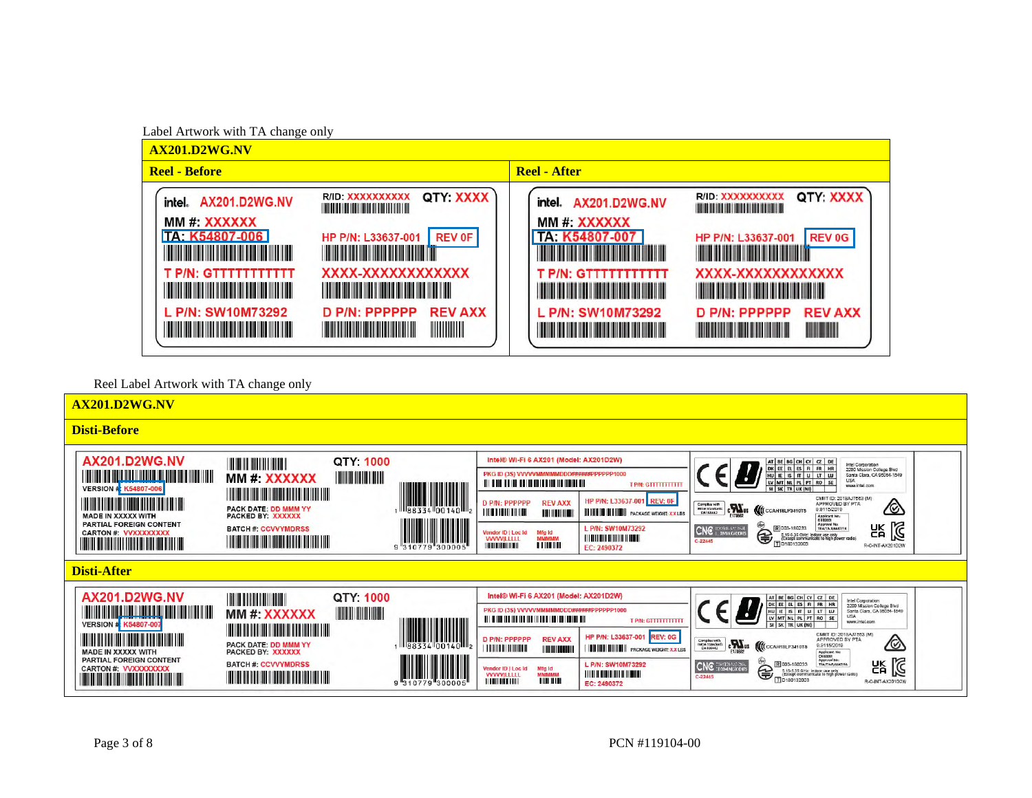

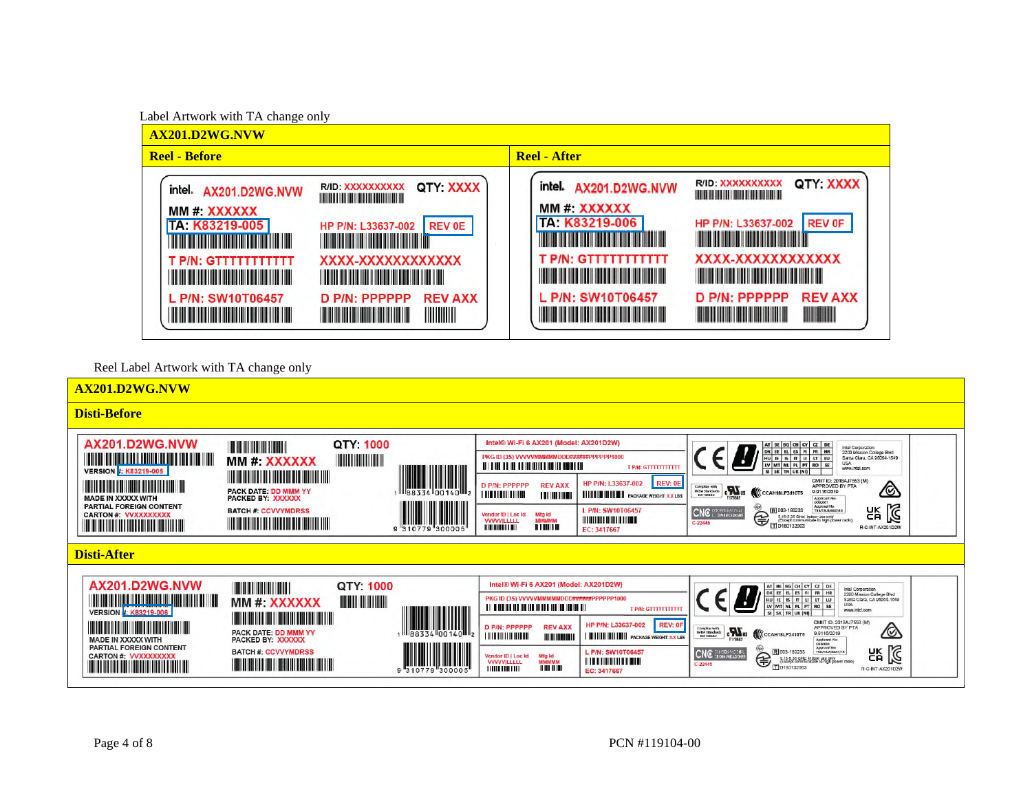

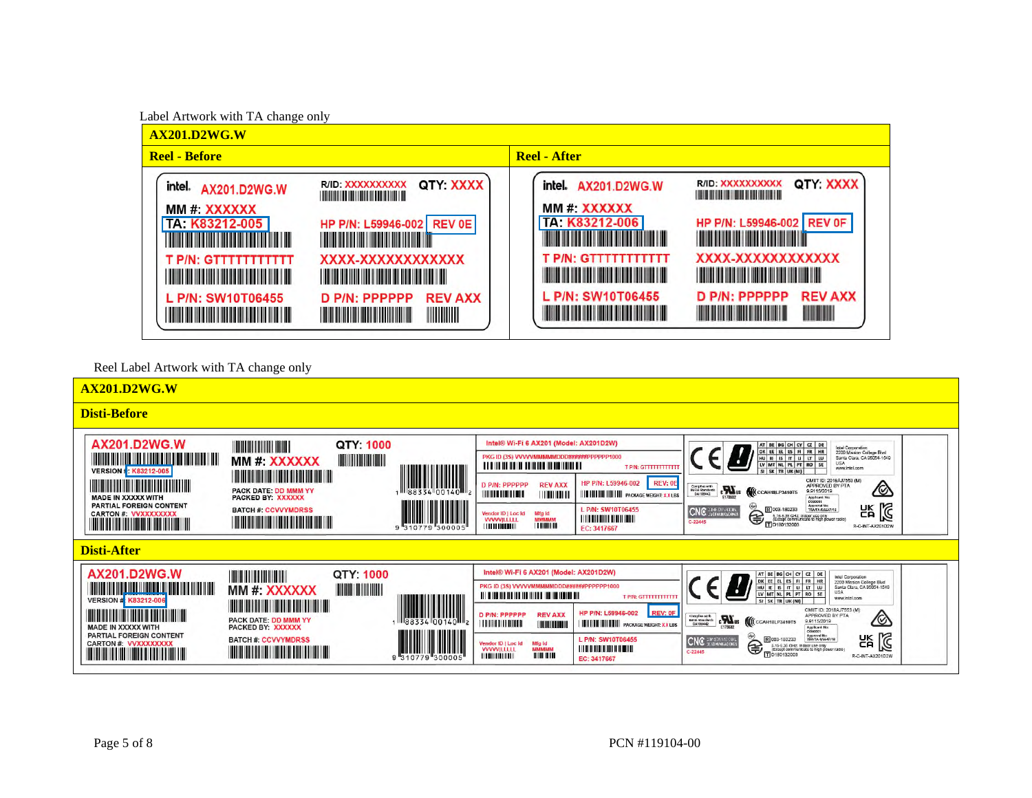

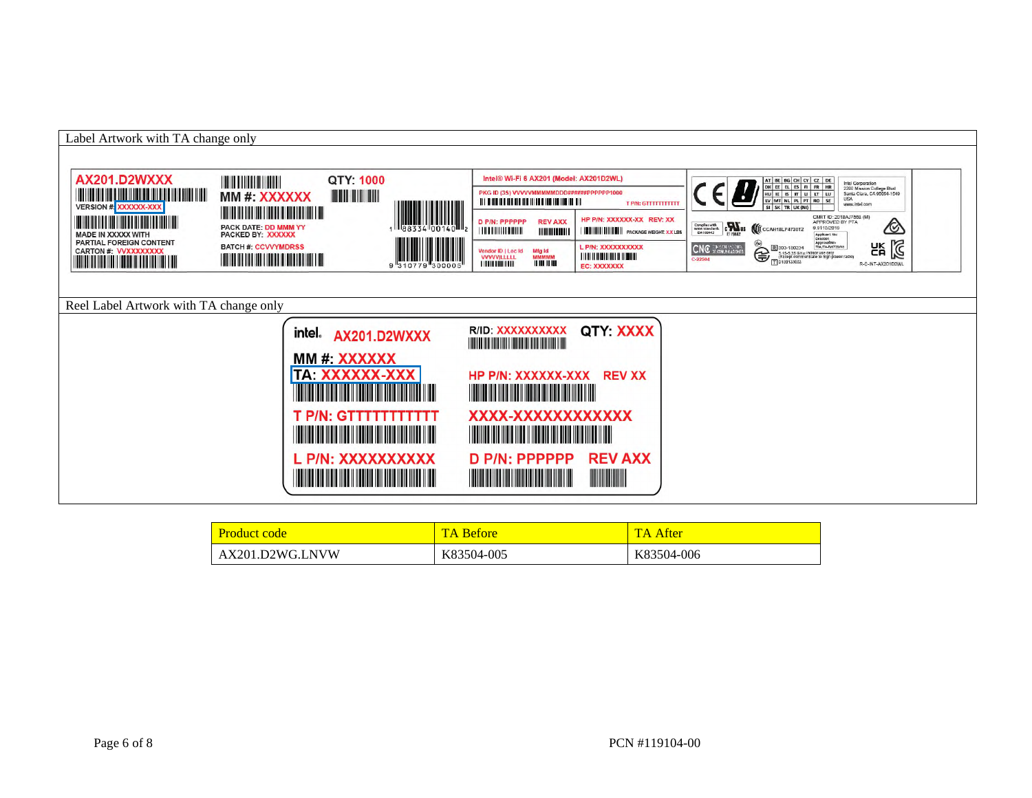

| <b>Product code</b> | <b>TA Before</b> | TA After   |
|---------------------|------------------|------------|
| AX201.D2WG.LNVW     | K83504-005       | K83504-006 |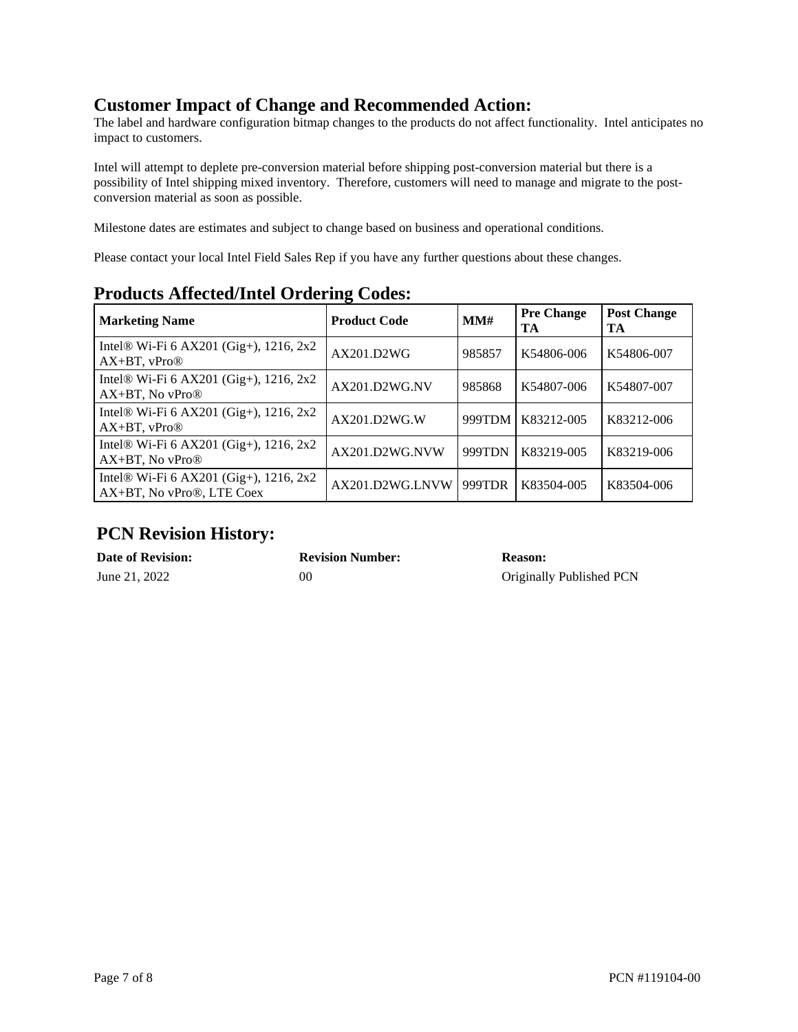## **Customer Impact of Change and Recommended Action:**

The label and hardware configuration bitmap changes to the products do not affect functionality. Intel anticipates no impact to customers.

Intel will attempt to deplete pre-conversion material before shipping post-conversion material but there is a possibility of Intel shipping mixed inventory. Therefore, customers will need to manage and migrate to the postconversion material as soon as possible.

Milestone dates are estimates and subject to change based on business and operational conditions.

Please contact your local Intel Field Sales Rep if you have any further questions about these changes.

| <b>Marketing Name</b>                                                               | ິ<br><b>Product Code</b> | MM#    | <b>Pre Change</b><br>TA | <b>Post Change</b><br>TA |
|-------------------------------------------------------------------------------------|--------------------------|--------|-------------------------|--------------------------|
| Intel <sup>®</sup> Wi-Fi 6 AX201 (Gig+), 1216, 2x2<br>$AX+BT$ , $vPro@$             | AX201.D2WG               | 985857 | K54806-006              | K54806-007               |
| Intel® Wi-Fi 6 AX201 (Gig+), 1216, 2x2<br>$AX+BT$ , No vPro $\circledR$             | AX201.D2WG.NV            | 985868 | K54807-006              | K54807-007               |
| Intel® Wi-Fi 6 AX201 (Gig+), 1216, 2x2<br>$AX+BT$ , $vPro@$                         | AX201.D2WG.W             | 999TDM | K83212-005              | K83212-006               |
| Intel <sup>®</sup> Wi-Fi 6 AX201 (Gig+), 1216, 2x2<br>$AX+BT$ , No vPro $\circledR$ | AX201.D2WG.NVW           | 999TDN | K83219-005              | K83219-006               |
| Intel <sup>®</sup> Wi-Fi 6 AX201 (Gig+), 1216, 2x2<br>AX+BT, No vPro®, LTE Coex     | AX201.D2WG.LNVW          | 999TDR | K83504-005              | K83504-006               |

### **Products Affected/Intel Ordering Codes:**

## **PCN Revision History:**

| <b>Date of Revision:</b> | <b>Revision Number:</b> | <b>Reason:</b>        |
|--------------------------|-------------------------|-----------------------|
| June 21, 2022            | 00                      | Original <sup>®</sup> |

## **Driginally Published PCN**